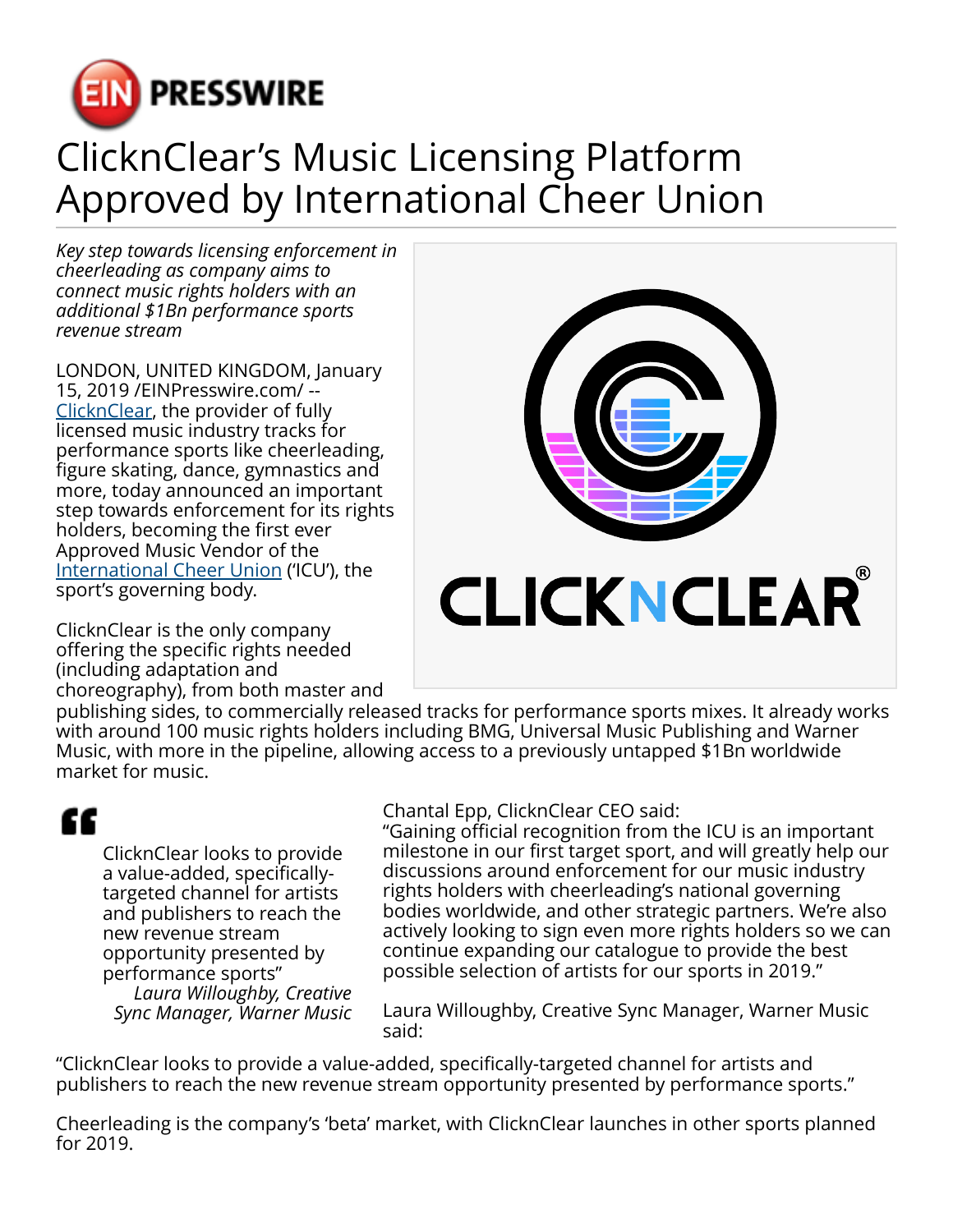

## ClicknClear's Music Licensing Platform Approved by International Cheer Union

*Key step towards licensing enforcement in cheerleading as company aims to connect music rights holders with an additional \$1Bn performance sports revenue stream*

LONDON, UNITED KINGDOM, January 15, 2019 /[EINPresswire.com/](http://www.einpresswire.com) -- [ClicknClear,](http://www.clicknclear.com/) the provider of fully licensed music industry tracks for performance sports like cheerleading, figure skating, dance, gymnastics and more, today announced an important step towards enforcement for its rights holders, becoming the first ever Approved Music Vendor of the [International Cheer Union](http://cheerunion.org/) ('ICU'), the sport's governing body.

ClicknClear is the only company offering the specific rights needed (including adaptation and choreography), from both master and



publishing sides, to commercially released tracks for performance sports mixes. It already works with around 100 music rights holders including BMG, Universal Music Publishing and Warner Music, with more in the pipeline, allowing access to a previously untapped \$1Bn worldwide market for music.

## ££

ClicknClear looks to provide a value-added, specificallytargeted channel for artists and publishers to reach the new revenue stream opportunity presented by performance sports" *Laura Willoughby, Creative*

*Sync Manager, Warner Music*

Chantal Epp, ClicknClear CEO said:

"Gaining official recognition from the ICU is an important milestone in our first target sport, and will greatly help our discussions around enforcement for our music industry rights holders with cheerleading's national governing bodies worldwide, and other strategic partners. We're also actively looking to sign even more rights holders so we can continue expanding our catalogue to provide the best possible selection of artists for our sports in 2019."

Laura Willoughby, Creative Sync Manager, Warner Music said:

"ClicknClear looks to provide a value-added, specifically-targeted channel for artists and publishers to reach the new revenue stream opportunity presented by performance sports."

Cheerleading is the company's 'beta' market, with ClicknClear launches in other sports planned for 2019.